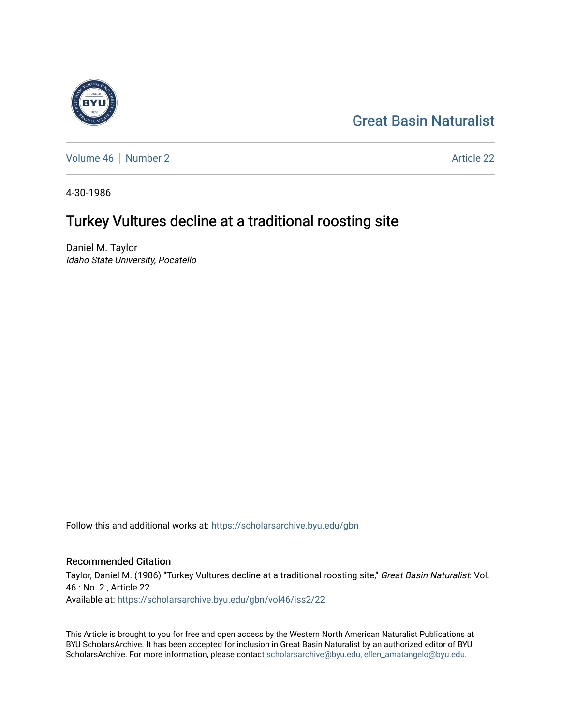## [Great Basin Naturalist](https://scholarsarchive.byu.edu/gbn)

[Volume 46](https://scholarsarchive.byu.edu/gbn/vol46) [Number 2](https://scholarsarchive.byu.edu/gbn/vol46/iss2) Article 22

4-30-1986

# Turkey Vultures decline at a traditional roosting site

Daniel M. Taylor Idaho State University, Pocatello

Follow this and additional works at: [https://scholarsarchive.byu.edu/gbn](https://scholarsarchive.byu.edu/gbn?utm_source=scholarsarchive.byu.edu%2Fgbn%2Fvol46%2Fiss2%2F22&utm_medium=PDF&utm_campaign=PDFCoverPages) 

## Recommended Citation

Taylor, Daniel M. (1986) "Turkey Vultures decline at a traditional roosting site," Great Basin Naturalist: Vol. 46 : No. 2 , Article 22. Available at: [https://scholarsarchive.byu.edu/gbn/vol46/iss2/22](https://scholarsarchive.byu.edu/gbn/vol46/iss2/22?utm_source=scholarsarchive.byu.edu%2Fgbn%2Fvol46%2Fiss2%2F22&utm_medium=PDF&utm_campaign=PDFCoverPages) 

This Article is brought to you for free and open access by the Western North American Naturalist Publications at BYU ScholarsArchive. It has been accepted for inclusion in Great Basin Naturalist by an authorized editor of BYU ScholarsArchive. For more information, please contact [scholarsarchive@byu.edu, ellen\\_amatangelo@byu.edu.](mailto:scholarsarchive@byu.edu,%20ellen_amatangelo@byu.edu)

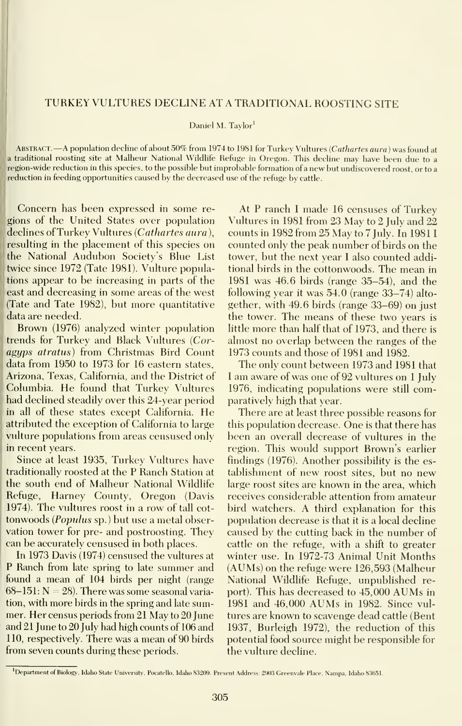### TURKEY VULTURES DECLINE AT A TRADITIONAL ROOSTING SITE

Daniel M. Taylor'

ABSTRACT. —A population decline of about 50% from 1974 to 1981 for Turkey Vultures (Cathartes aura) was found at <sup>a</sup> traditional roosting site at Malheur National Wildlife Refuge in Oregon. This decline may have been due to <sup>a</sup> region-wide reduction in this species, to the possible but improbable formation of <sup>a</sup> new but undiscovered roost, or to <sup>a</sup> reduction in feeding opportunities caused by the decreased use of the refuge by cattle.

Concern has been expressed in some re gions of the United States over population declines of Turkey Vultures (Cathartes aura), resulting in the placement of this species on the National Audubon Society's Blue List twice since 1972 (Tate 1981). Vulture populations appear to be increasing in parts of the east and decreasing in some areas of the west : (Tate and Tate 1982), but more quantitative data are needed.

Brown (1976) analyzed winter population trends for Turkey and Black Vultures (Coragyps atratus) from Christmas Bird Count data from 1950 to 1973 for 16 eastern states, Arizona, Texas, California, and the District of Columbia. He found that Turkey Vultures had declined steadily over this 24-year period in all of these states except California. He attributed the exception of California to large vulture populations from areas censused only in recent years.

Since at least 1935, Turkey Vultures have traditionally roosted at the P Ranch Station at the south end of Malheur National Wildlife Refuge, Harney County, Oregon (Davis 1974). The vultures roost in a row of tall cot tonwoods (Populus sp.) but use a metal observation tower for pre- and postroosting. They can be accurately censused in both places.

In 1973 Davis (1974) censused the vultures at P Ranch from late spring to late summer and found a mean of 104 birds per night (range  $68-151$ :  $N = 28$ ). There was some seasonal variation, with more birds in the spring and late summer. Her census periods from 21 May to 20 June and 21 June to 20 July had high counts of 106 and 110, respectively. There was a mean of 90 birds from seven counts during these periods.

At P ranch <sup>I</sup> made 16 censuses of Turkey Vultures in 1981 from 23 May to 2 July and 22 counts in 1982 from 25 May to 7 July. In 1981 counted only the peak number of birds on the tower, but the next year <sup>I</sup> also counted additional birds in the cottonwoods. The mean in 1981 was 46.6 birds (range 35-54), and the following year it was 54.0 (range 33-74) alto gether, with 49.6 birds (range 33-69) on just the tower. The means of these two years is little more than half that of 1973, and there isalmost no overlap between the ranges of the 1973 counts and those of 1981 and 1982.

The only count between 1973 and 1981 that <sup>I</sup> am aware of was one of 92 vultures on <sup>1</sup> July 1976, indicating populations were still comparatively high that year.

There are at least three possible reasons for this population decrease. One is that there has been an overall decrease of vultures in the region. This would support Brown's earlier findings (1976). Another possibility is the es tablishment of new roost sites, but no new large roost sites are known in the area, which receives considerable attention from amateur bird watchers. A third explanation for this population decrease is that it is a local decline caused by the cutting back in the number of cattle on the refuge, with a shift to greater winter use. In 1972-73 Animal Unit Months (AUMs) on the refuge were 126,593 (Malheur National Wildlife Refuge, unpublished report). This has decreased to 45,000 AUMs in <sup>1981</sup> and 46,000 AUMs in 1982. Since vul tures are known to scavenge dead cattle (Bent 1937, Burleigh 1972), the reduction of this potential food source might be responsible for the vulture decline.

<sup>&</sup>lt;sup>1</sup>Department of Biology, Idaho State University, Pocatello, Idaho 83209. Present Address: 2903 Greenvale Place, Nampa, Idaho 83651.